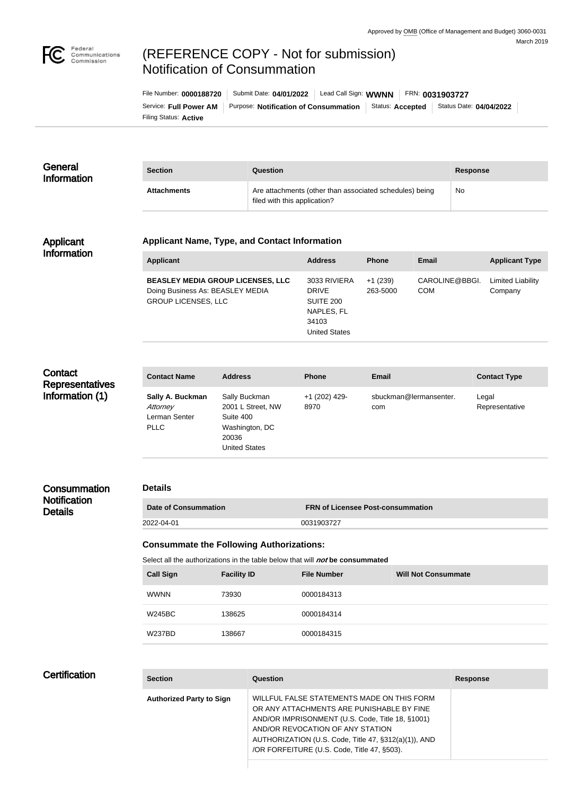

# (REFERENCE COPY - Not for submission) Notification of Consummation

Filing Status: **Active** Service: Full Power AM | Purpose: Notification of Consummation | Status: Accepted | Status Date: 04/04/2022 File Number: **0000188720** Submit Date: **04/01/2022** Lead Call Sign: **WWNN** FRN: **0031903727**

| General<br><b>Information</b> | <b>Section</b>     | <b>Question</b>                                                                         | <b>Response</b> |
|-------------------------------|--------------------|-----------------------------------------------------------------------------------------|-----------------|
|                               | <b>Attachments</b> | Are attachments (other than associated schedules) being<br>filed with this application? | <b>No</b>       |

#### Applicant Information

#### **Applicant Name, Type, and Contact Information**

| <b>Applicant</b>                                                                                           | <b>Address</b>                                                                           | <b>Phone</b>          | Email                        | <b>Applicant Type</b>        |
|------------------------------------------------------------------------------------------------------------|------------------------------------------------------------------------------------------|-----------------------|------------------------------|------------------------------|
| <b>BEASLEY MEDIA GROUP LICENSES, LLC</b><br>Doing Business As: BEASLEY MEDIA<br><b>GROUP LICENSES, LLC</b> | 3033 RIVIERA<br><b>DRIVE</b><br>SUITE 200<br>NAPLES, FL<br>34103<br><b>United States</b> | $+1(239)$<br>263-5000 | CAROLINE@BBGI.<br><b>COM</b> | Limited Liability<br>Company |

# **Contact Representatives** Information (1)

| <b>Address</b>       | <b>Phone</b>  | <b>Email</b>           | <b>Contact Type</b> |
|----------------------|---------------|------------------------|---------------------|
| Sally Buckman        | +1 (202) 429- | sbuckman@lermansenter. | Legal               |
| 2001 L Street, NW    | 8970          | com                    | Representative      |
| Suite 400            |               |                        |                     |
| Washington, DC       |               |                        |                     |
| 20036                |               |                        |                     |
| <b>United States</b> |               |                        |                     |
|                      |               |                        |                     |

## **Consummation Notification Details**

#### **Details**

**Date of Consummation FRN of Licensee Post-consummation** 2022-04-01 0031903727

## **Consummate the Following Authorizations:**

Select all the authorizations in the table below that will *not* be consummated

| <b>Call Sign</b> | <b>Facility ID</b> | <b>File Number</b> | <b>Will Not Consummate</b> |
|------------------|--------------------|--------------------|----------------------------|
| <b>WWNN</b>      | 73930              | 0000184313         |                            |
| <b>W245BC</b>    | 138625             | 0000184314         |                            |
| <b>W237BD</b>    | 138667             | 0000184315         |                            |

# **Certification**

| <b>Section</b>                  | Question                                                                                                                                                                                                                                                                               | <b>Response</b> |
|---------------------------------|----------------------------------------------------------------------------------------------------------------------------------------------------------------------------------------------------------------------------------------------------------------------------------------|-----------------|
| <b>Authorized Party to Sign</b> | WILLFUL FALSE STATEMENTS MADE ON THIS FORM<br>OR ANY ATTACHMENTS ARE PUNISHABLE BY FINE<br>AND/OR IMPRISONMENT (U.S. Code, Title 18, §1001)<br>AND/OR REVOCATION OF ANY STATION<br>AUTHORIZATION (U.S. Code, Title 47, §312(a)(1)), AND<br>/OR FORFEITURE (U.S. Code, Title 47, §503). |                 |